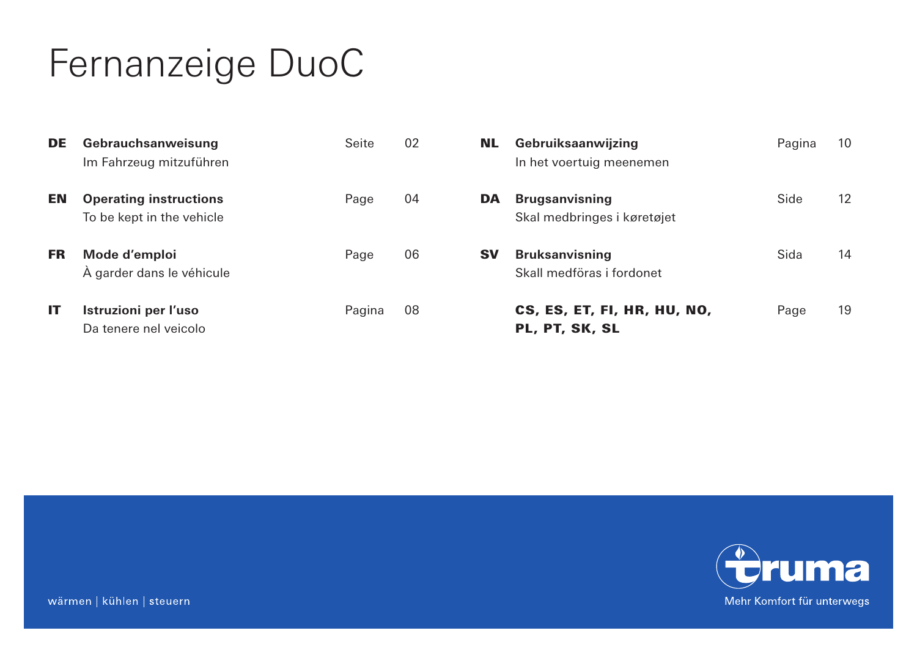# Fernanzeige DuoC

| DE        | Gebrauchsanweisung<br>Im Fahrzeug mitzuführen              | Seite  | 02 | NL. | Gebruiksaanwijzing<br>In het voertuig meenemen       | Pagina | 10 |
|-----------|------------------------------------------------------------|--------|----|-----|------------------------------------------------------|--------|----|
| EN        | <b>Operating instructions</b><br>To be kept in the vehicle | Page   | 04 | DA  | <b>Brugsanvisning</b><br>Skal medbringes i køretøjet | Side   | 12 |
| <b>FR</b> | Mode d'emploi<br>À garder dans le véhicule                 | Page   | 06 | Sν  | <b>Bruksanvisning</b><br>Skall medföras i fordonet   | Sida   | 14 |
| IТ        | Istruzioni per l'uso<br>Da tenere nel veicolo              | Pagina | 08 |     | CS, ES, ET, FI, HR, HU, NO,<br>PL, PT, SK, SL        | Page   | 19 |

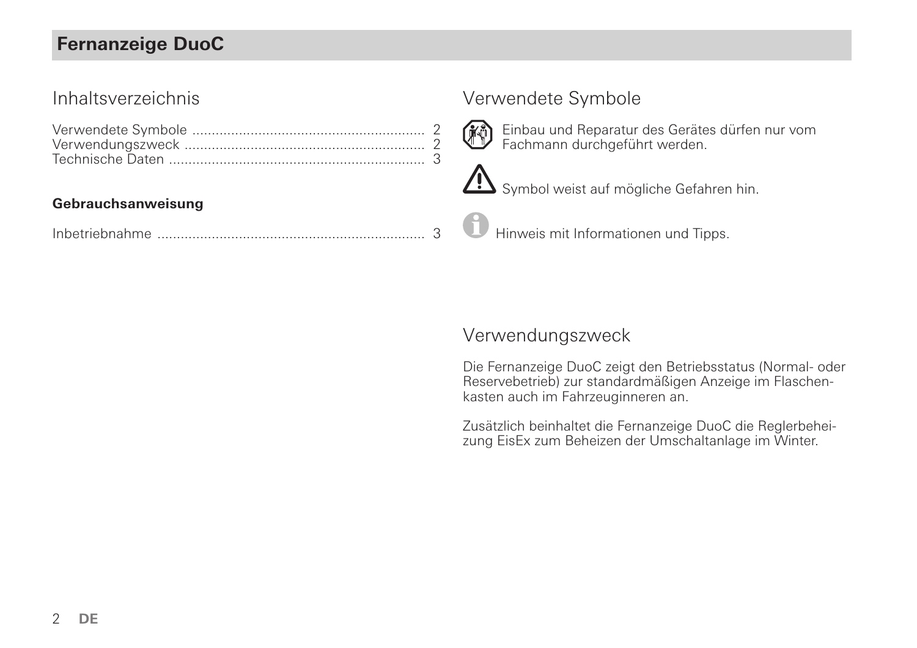# **Fernanzeige DuoC**

# Inhaltsverzeichnis

#### **Gebrauchsanweisung**

| Inbetriebnahme |  |  |
|----------------|--|--|
|----------------|--|--|

## Verwendete Symbole



Einbau und Reparatur des Gerätes dürfen nur vom Fachmann durchgeführt werden.



Symbol weist auf mögliche Gefahren hin.

Hinweis mit Informationen und Tipps.

### Verwendungszweck

Die Fernanzeige DuoC zeigt den Betriebsstatus (Normal- oder Reservebetrieb) zur standardmäßigen Anzeige im Flaschenkasten auch im Fahrzeuginneren an.

Zusätzlich beinhaltet die Fernanzeige DuoC die Reglerbeheizung EisEx zum Beheizen der Umschaltanlage im Winter.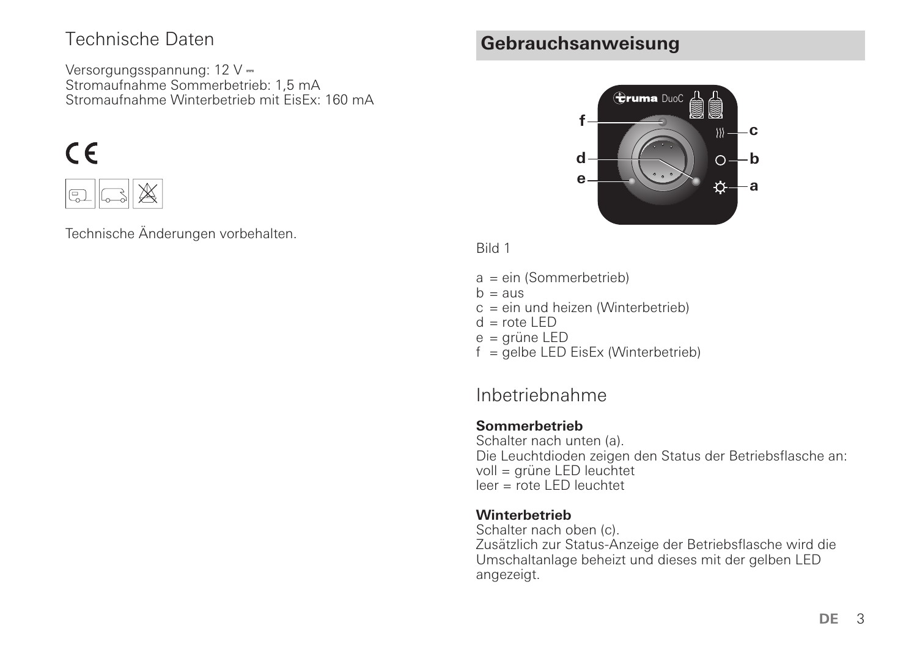Versorgungsspannung: 12 V Stromaufnahme Sommerbetrieb: 1,5 mA Stromaufnahme Winterbetrieb mit EisEx: 160 mA

# $\epsilon$



Technische Änderungen vorbehalten.

# Technische Daten **Gebrauchsanweisung**



#### Bild 1

- a = ein (Sommerbetrieb)
- $b = 0$
- $c = ein$  und heizen (Winterbetrieb)
- $d =$  rote LED
- e = grüne LED
- $f =$  gelbe LED EisEx (Winterbetrieb)

# Inbetriebnahme

### **Sommerbetrieb**

Schalter nach unten (a). Die Leuchtdioden zeigen den Status der Betriebsflasche an: voll = grüne LED leuchtet leer = rote LED leuchtet

#### **Winterbetrieb**

Schalter nach oben (c). Zusätzlich zur Status-Anzeige der Betriebsflasche wird die Umschaltanlage beheizt und dieses mit der gelben LED angezeigt.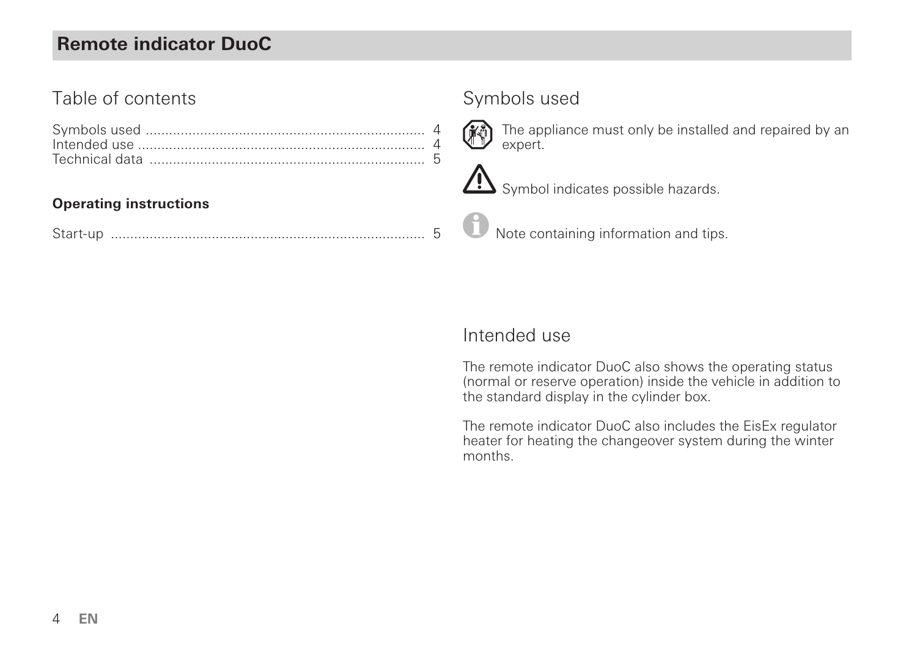# **Remote indicator DuoC**

# Table of contents

#### **Operating instructions**

# Symbols used



The appliance must only be installed and repaired by an expert.



Symbol indicates possible hazards.

Note containing information and tips.

## Intended use

The remote indicator DuoC also shows the operating status (normal or reserve operation) inside the vehicle in addition to the standard display in the cylinder box.

The remote indicator DuoC also includes the EisEx regulator heater for heating the changeover system during the winter months.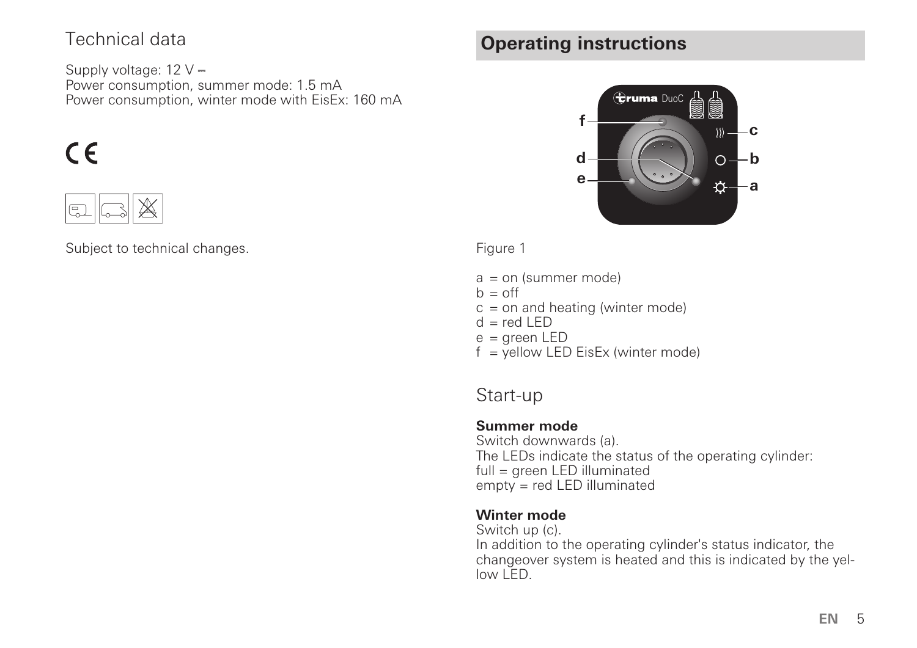Supply voltage: 12 V Power consumption, summer mode: 1.5 mA Power consumption, winter mode with EisEx: 160 mA

# $\epsilon$



Subject to technical changes.

# Technical data **Operating instructions**



#### Figure 1

- $a =$  on (summer mode)
- $b = \text{off}$
- $c =$  on and heating (winter mode)
- $d = red$  LED
- e = green LED
- $f =$  yellow LED EisEx (winter mode)

# Start-up

#### **Summer mode**

Switch downwards (a). The LEDs indicate the status of the operating cylinder: full = green LED illuminated empty = red LED illuminated

### **Winter mode**

Switch up (c). In addition to the operating cylinder's status indicator, the changeover system is heated and this is indicated by the yellow LED.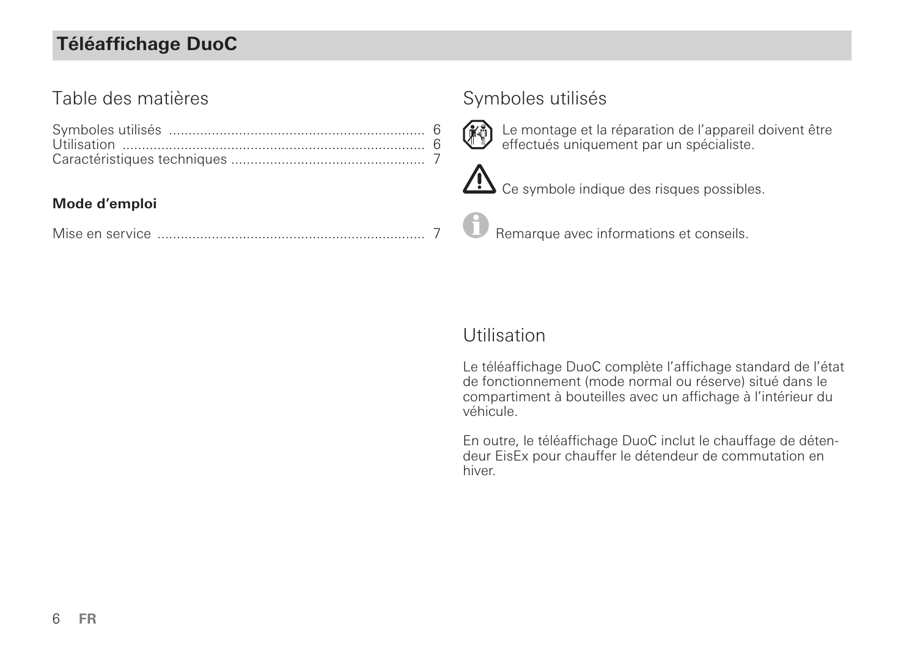# **Téléaffichage DuoC**

# Table des matières

#### **Mode d'emploi**

| Mise en service |  |  |  |
|-----------------|--|--|--|
|-----------------|--|--|--|

## Symboles utilisés



Le montage et la réparation de l'appareil doivent être effectués uniquement par un spécialiste.



Ce symbole indique des risques possibles.

Remarque avec informations et conseils.

## **Utilisation**

Le téléaffichage DuoC complète l'affichage standard de l'état de fonctionnement (mode normal ou réserve) situé dans le compartiment à bouteilles avec un affichage à l'intérieur du véhicule.

En outre, le téléaffichage DuoC inclut le chauffage de détendeur EisEx pour chauffer le détendeur de commutation en hiver.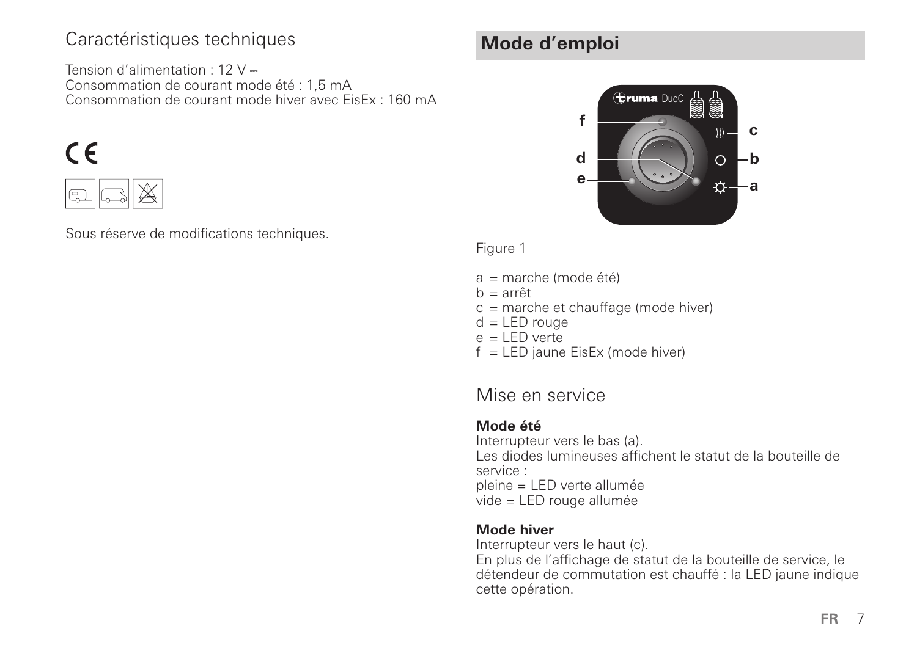# Caractéristiques techniques **Mode d'emploi**

Tension d'alimentation  $\cdot$  12 V = Consommation de courant mode été : 1,5 mA Consommation de courant mode hiver avec EisEx : 160 mA

# $\epsilon$



Sous réserve de modifications techniques.



#### Figure 1

- a = marche (mode été)
- $b = arrêt$
- c = marche et chauffage (mode hiver)
- $d = LED$  rouge
- $e = LED$  verte
- $f = LED$  jaune EisEx (mode hiver)

# Mise en service

### **Mode été**

Interrupteur vers le bas (a). Les diodes lumineuses affichent le statut de la bouteille de service : pleine = LED verte allumée vide = LED rouge allumée

### **Mode hiver**

Interrupteur vers le haut (c). En plus de l'affichage de statut de la bouteille de service, le détendeur de commutation est chauffé : la LED jaune indique cette opération.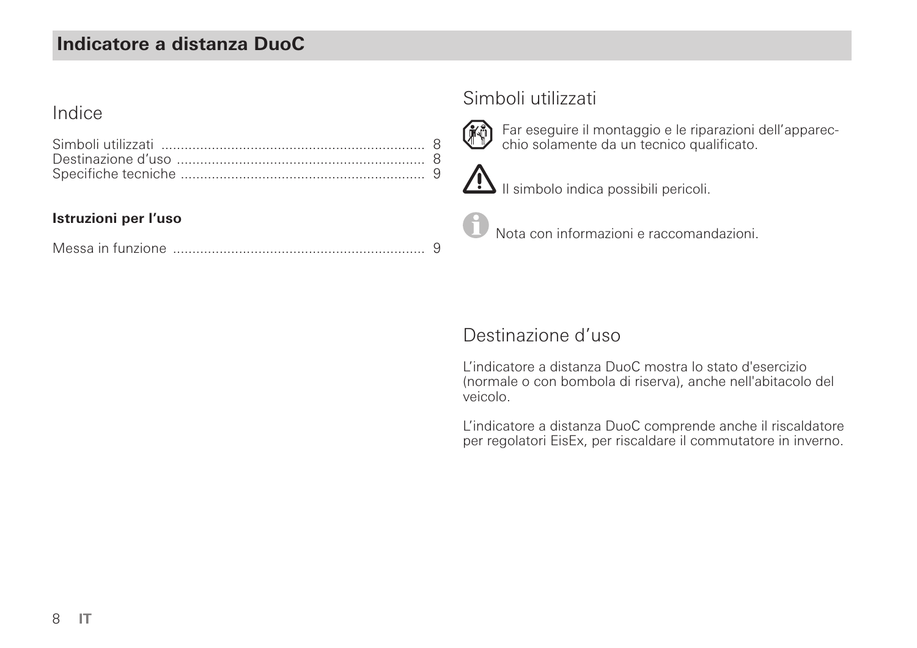# **Indicatore a distanza DuoC**

# Indice

#### **Istruzioni per l'uso**

Messa in funzione ................................................................. 9

## Simboli utilizzati



Far eseguire il montaggio e le riparazioni dell'apparecchio solamente da un tecnico qualificato.



 $\sum$  Il simbolo indica possibili pericoli.

Nota con informazioni e raccomandazioni.

# Destinazione d'uso

L'indicatore a distanza DuoC mostra lo stato d'esercizio (normale o con bombola di riserva), anche nell'abitacolo del veicolo.

L'indicatore a distanza DuoC comprende anche il riscaldatore per regolatori EisEx, per riscaldare il commutatore in inverno.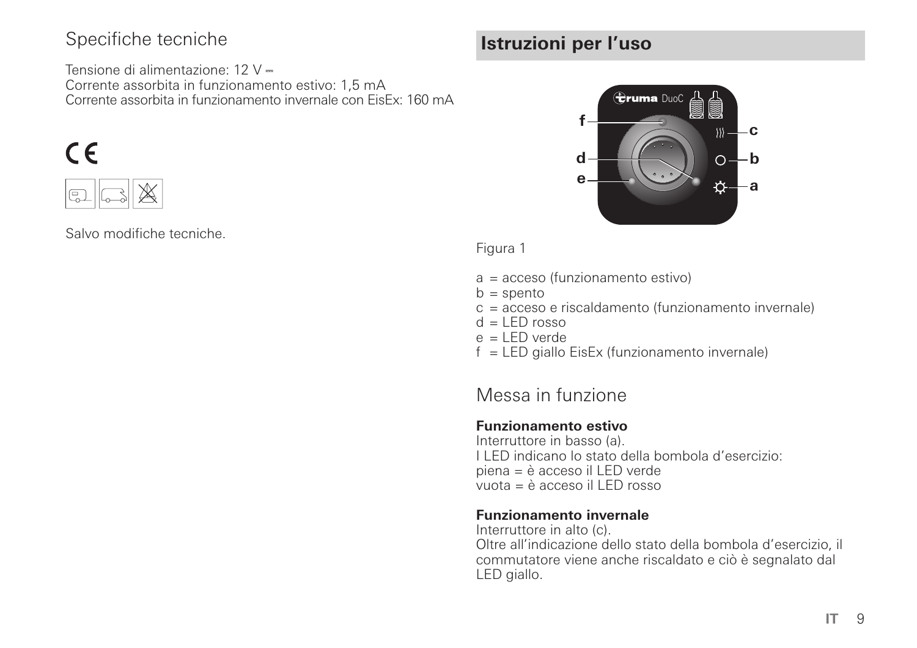# Specifiche tecniche **Istruzioni per l'uso**

Tensione di alimentazione: 12 V Corrente assorbita in funzionamento estivo: 1,5 mA Corrente assorbita in funzionamento invernale con EisEx: 160 mA

# $\epsilon$



Salvo modifiche tecniche.



#### Figura 1

- a = acceso (funzionamento estivo)
- $b =$ spento
- c = acceso e riscaldamento (funzionamento invernale)
- $d = 1$  FD rosso
- $e = \text{LED}$  verde
- $f = LED$  giallo EisEx (funzionamento invernale)

# Messa in funzione

### **Funzionamento estivo**

Interruttore in basso (a). I LED indicano lo stato della bombola d'esercizio: piena = è acceso il LED verde vuota = è acceso il LED rosso

#### **Funzionamento invernale**

Interruttore in alto (c). Oltre all'indicazione dello stato della bombola d'esercizio, il commutatore viene anche riscaldato e ciò è segnalato dal LED giallo.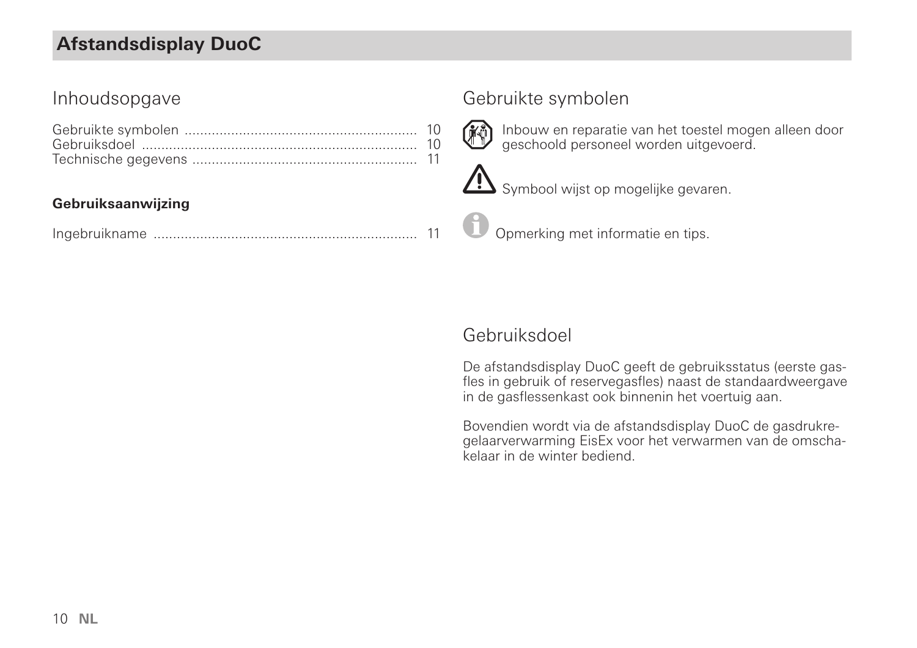# **Afstandsdisplay DuoC**

# Inhoudsopgave

#### **Gebruiksaanwijzing**

|--|--|--|--|

# Gebruikte symbolen



Inbouw en reparatie van het toestel mogen alleen door geschoold personeel worden uitgevoerd.



 $\sum$  Symbool wijst op mogelijke gevaren.

Opmerking met informatie en tips.

# Gebruiksdoel

De afstandsdisplay DuoC geeft de gebruiksstatus (eerste gasfles in gebruik of reservegasfles) naast de standaardweergave in de gasflessenkast ook binnenin het voertuig aan.

Bovendien wordt via de afstandsdisplay DuoC de gasdrukregelaarverwarming EisEx voor het verwarmen van de omschakelaar in de winter bediend.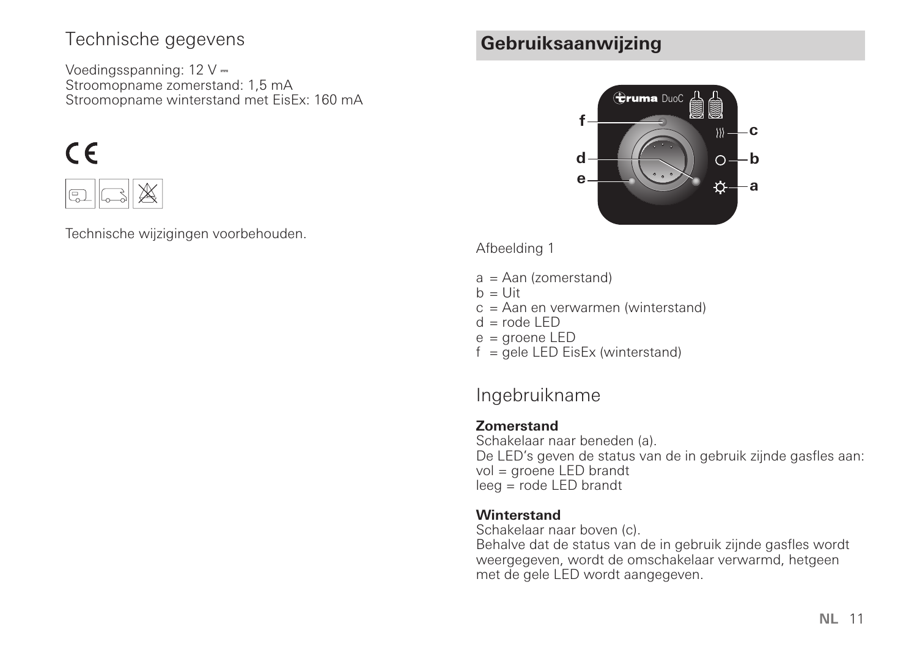# Technische gegevens **Gebruiksaanwijzing**

Voedingsspanning: 12 V Stroomopname zomerstand: 1,5 mA Stroomopname winterstand met EisEx: 160 mA

# $\epsilon$



Technische wijzigingen voorbehouden.



#### Afbeelding 1

- $a = Aan$  (zomerstand)
- $b = U$ it
- c = Aan en verwarmen (winterstand)
- $d =$ rode LED
- e = groene LED
- $f =$  gele LED EisEx (winterstand)

# Ingebruikname

### **Zomerstand**

Schakelaar naar beneden (a). De LED's geven de status van de in gebruik zijnde gasfles aan: vol = groene LED brandt leeg = rode LED brandt

### **Winterstand**

Schakelaar naar boven (c). Behalve dat de status van de in gebruik zijnde gasfles wordt weergegeven, wordt de omschakelaar verwarmd, hetgeen met de gele LED wordt aangegeven.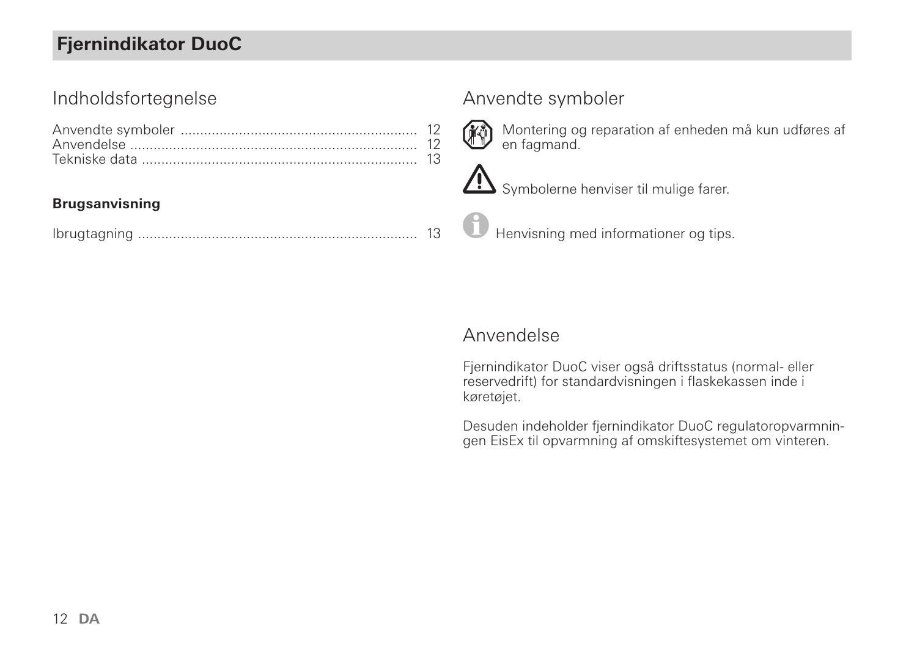# **Fjernindikator DuoC**

# Indholdsfortegnelse

#### **Brugsanvisning**

|--|--|--|

### Anvendte symboler



Montering og reparation af enheden må kun udføres af en fagmand.



Symbolerne henviser til mulige farer.

Henvisning med informationer og tips.

### Anvendelse

Fjernindikator DuoC viser også driftsstatus (normal- eller reservedrift) for standardvisningen i flaskekassen inde i køretøjet.

Desuden indeholder fjernindikator DuoC regulatoropvarmningen EisEx til opvarmning af omskiftesystemet om vinteren.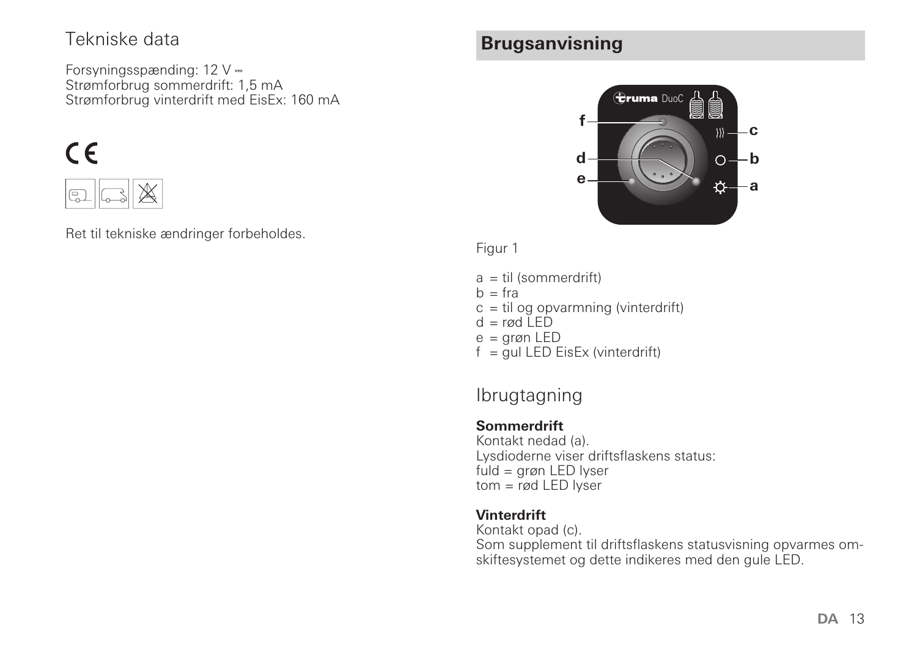Forsyningsspænding: 12 V Strømforbrug sommerdrift: 1,5 mA Strømforbrug vinterdrift med EisEx: 160 mA

# $\epsilon$



Ret til tekniske ændringer forbeholdes.

# Tekniske data **Brugsanvisning**



#### Figur 1

a = til (sommerdrift)  $b = \text{fra}$  $c =$  til og opvarmning (vinterdrift)  $d = \text{rad}$  LED e = grøn LED  $f = gul$  LED EisEx (vinterdrift)

# Ibrugtagning

#### **Sommerdrift**

Kontakt nedad (a). Lysdioderne viser driftsflaskens status: fuld = grøn LED lyser  $tom = rød LED$  lyser

#### **Vinterdrift**

Kontakt opad (c). Som supplement til driftsflaskens statusvisning opvarmes omskiftesystemet og dette indikeres med den gule LED.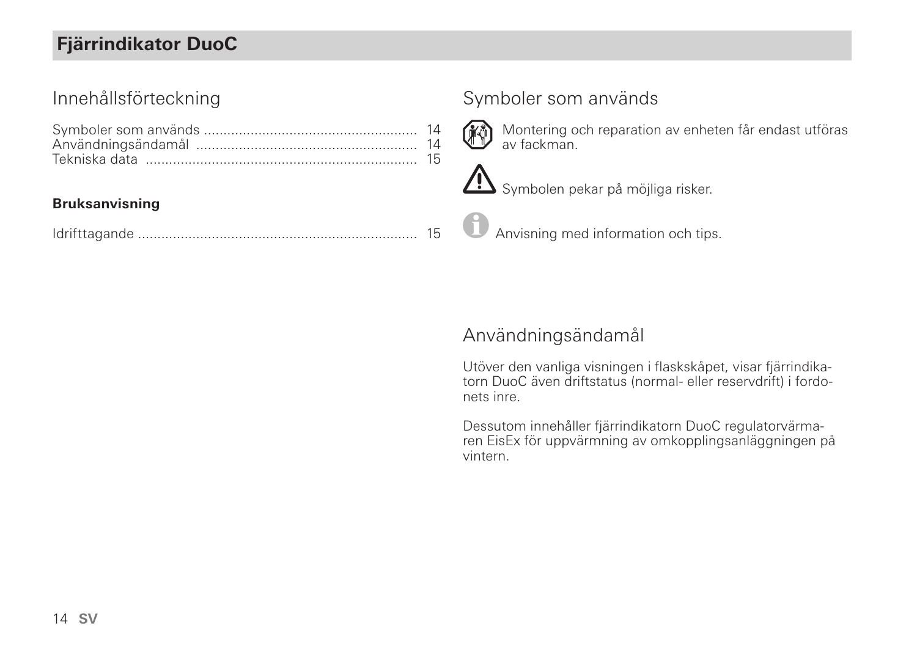# **Fjärrindikator DuoC**

# Innehållsförteckning

#### **Bruksanvisning**

|--|--|

# Symboler som används



**Montering och reparation av enheten får endast utföras** av fackman.



Symbolen pekar på möjliga risker.

Anvisning med information och tips.

# Användningsändamål

Utöver den vanliga visningen i flaskskåpet, visar fjärrindikatorn DuoC även driftstatus (normal- eller reservdrift) i fordonets inre.

Dessutom innehåller fjärrindikatorn DuoC regulatorvärmaren EisEx för uppvärmning av omkopplingsanläggningen på vintern.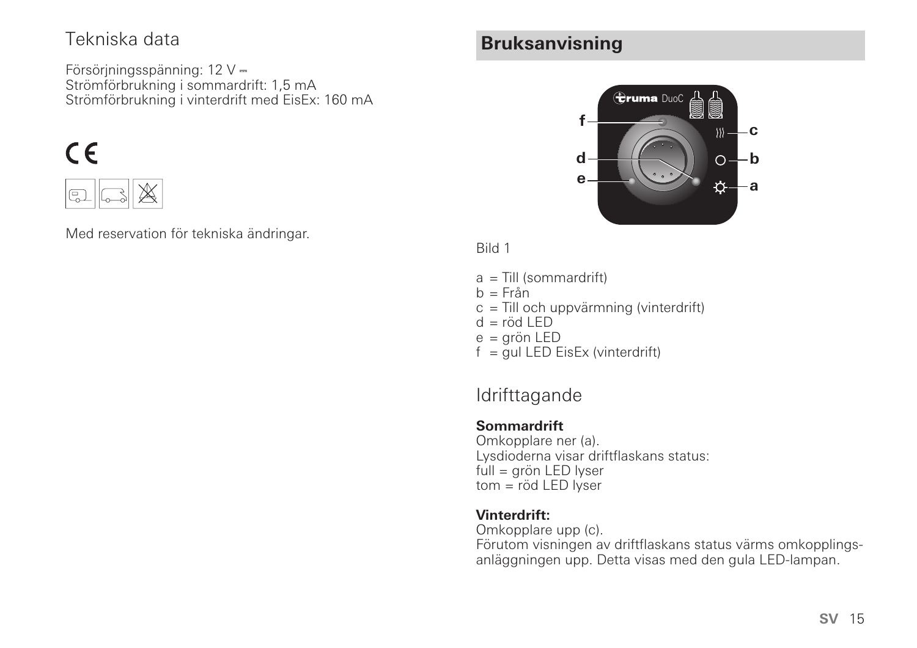Försörjningsspänning: 12 V Strömförbrukning i sommardrift: 1,5 mA Strömförbrukning i vinterdrift med EisEx: 160 mA

# $\epsilon$



Med reservation för tekniska ändringar.

# Tekniska data **Bruksanvisning**



#### Bild 1

- $a =$  Till (sommardrift)
- $b = Från$
- c = Till och uppvärmning (vinterdrift)
- $d = r \ddot{o} d$  LED
- e = grön LED
- $f = gul$  LED EisEx (vinterdrift)

# Idrifttagande

### **Sommardrift**

Omkopplare ner (a). Lysdioderna visar driftflaskans status: full = grön LED lyser  $tom = r\ddot{o}d$  LED lyser

### **Vinterdrift:**

Omkopplare upp (c). Förutom visningen av driftflaskans status värms omkopplingsanläggningen upp. Detta visas med den gula LED-lampan.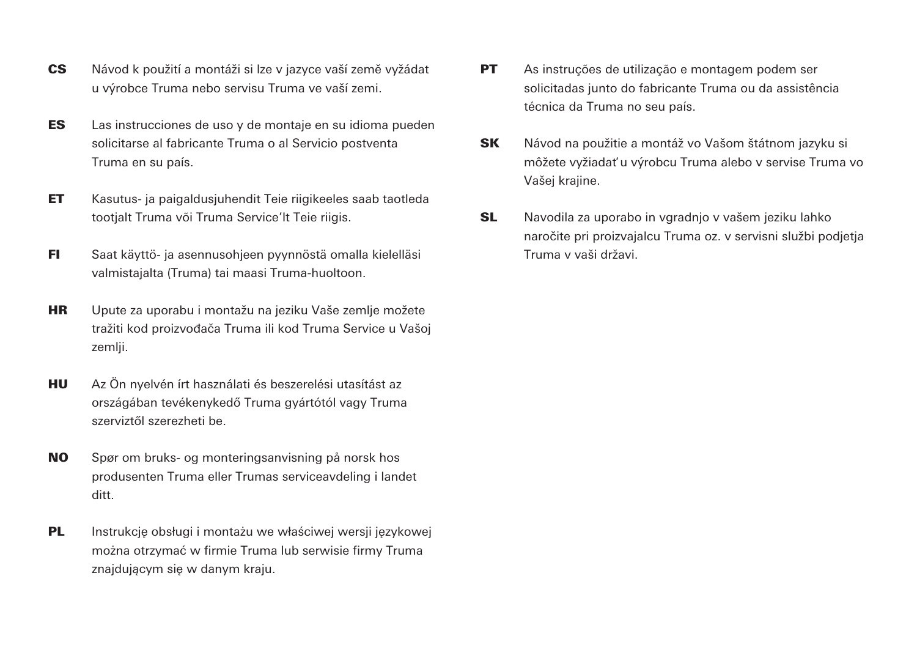- CS Návod k použití a montáži si lze v jazyce vaší země vyžádat u výrobce Truma nebo servisu Truma ve vaší zemi.
- ES Las instrucciones de uso y de montaje en su idioma pueden solicitarse al fabricante Truma o al Servicio postventa Truma en su país.
- ET Kasutus- ja paigaldusjuhendit Teie riigikeeles saab taotleda tootjalt Truma või Truma Service'lt Teie riigis.
- FI Saat käyttö- ja asennusohjeen pyynnöstä omalla kielelläsi valmistajalta (Truma) tai maasi Truma-huoltoon.
- HR Upute za uporabu i montažu na jeziku Vaše zemlje možete tražiti kod proizvođača Truma ili kod Truma Service u Vašoj zemlji.
- HU Az Ön nyelvén írt használati és beszerelési utasítást az országában tevékenykedő Truma gyártótól vagy Truma szerviztől szerezheti be.
- NO Spør om bruks- og monteringsanvisning på norsk hos produsenten Truma eller Trumas serviceavdeling i landet ditt.
- PL Instrukcję obsługi i montażu we właściwej wersji językowej można otrzymać w firmie Truma lub serwisie firmy Truma znajdującym się w danym kraju.
- **PT** As instruções de utilização e montagem podem ser solicitadas junto do fabricante Truma ou da assistência técnica da Truma no seu país.
- SK Návod na použitie a montáž vo Vašom štátnom jazyku si môžete vyžiadať u výrobcu Truma alebo v servise Truma vo Vašej krajine.
- SL Navodila za uporabo in vgradnjo v vašem jeziku lahko naročite pri proizvajalcu Truma oz. v servisni službi podjetja Truma v vaši državi.